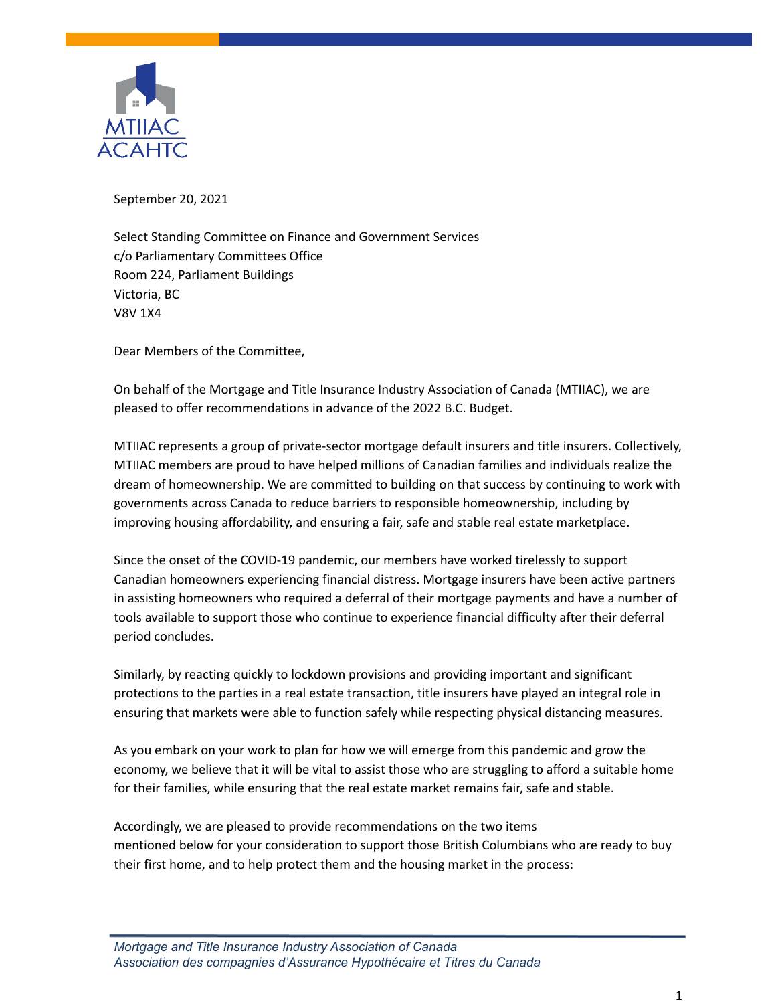

September 20, 2021

Select Standing Committee on Finance and Government Services c/o Parliamentary Committees Office Room 224, Parliament Buildings Victoria, BC V8V 1X4

Dear Members of the Committee,

On behalf of the Mortgage and Title Insurance Industry Association of Canada (MTIIAC), we are pleased to offer recommendations in advance of the 2022 B.C. Budget.

MTIIAC represents a group of private-sector mortgage default insurers and title insurers. Collectively, MTIIAC members are proud to have helped millions of Canadian families and individuals realize the dream of homeownership. We are committed to building on that success by continuing to work with governments across Canada to reduce barriers to responsible homeownership, including by improving housing affordability, and ensuring a fair, safe and stable real estate marketplace.

Since the onset of the COVID-19 pandemic, our members have worked tirelessly to support Canadian homeowners experiencing financial distress. Mortgage insurers have been active partners in assisting homeowners who required a deferral of their mortgage payments and have a number of tools available to support those who continue to experience financial difficulty after their deferral period concludes.

Similarly, by reacting quickly to lockdown provisions and providing important and significant protections to the parties in a real estate transaction, title insurers have played an integral role in ensuring that markets were able to function safely while respecting physical distancing measures.

As you embark on your work to plan for how we will emerge from this pandemic and grow the economy, we believe that it will be vital to assist those who are struggling to afford a suitable home for their families, while ensuring that the real estate market remains fair, safe and stable.

Accordingly, we are pleased to provide recommendations on the two items mentioned below for your consideration to support those British Columbians who are ready to buy their first home, and to help protect them and the housing market in the process: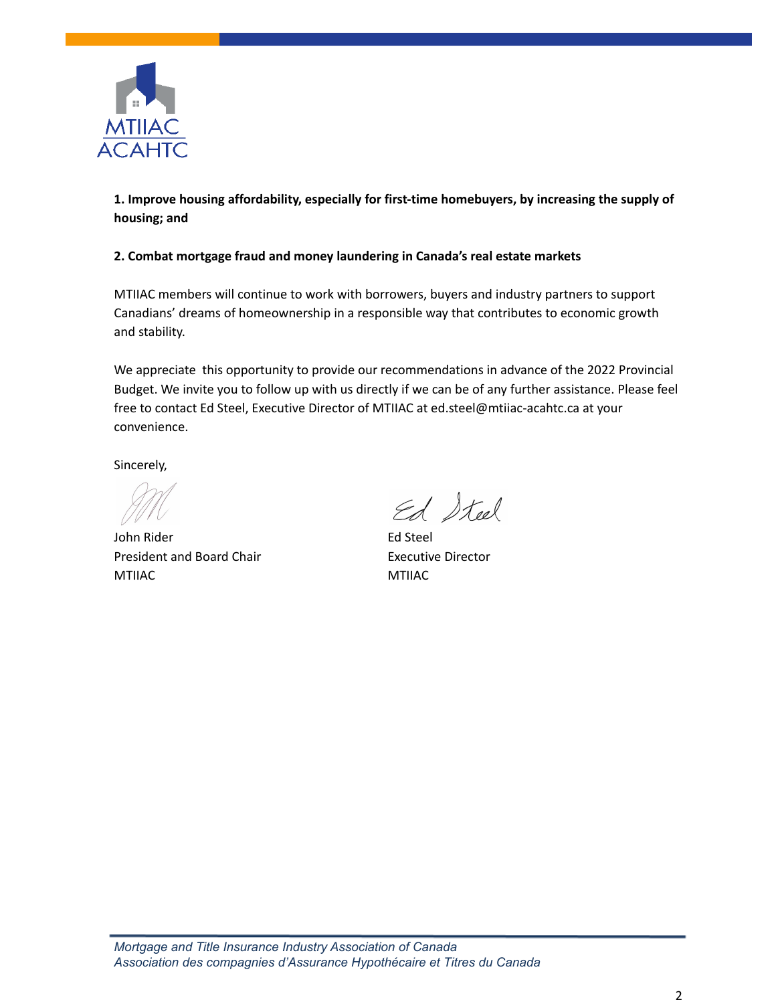

**1. Improve housing affordability, especially for first-time homebuyers, by increasing the supply of housing; and**

### **2. Combat mortgage fraud and money laundering in Canada's real estate markets**

MTIIAC members will continue to work with borrowers, buyers and industry partners to support Canadians' dreams of homeownership in a responsible way that contributes to economic growth and stability.

We appreciate this opportunity to provide our recommendations in advance of the 2022 Provincial Budget. We invite you to follow up with us directly if we can be of any further assistance. Please feel free to contact Ed Steel, Executive Director of MTIIAC at ed.steel@mtiiac-acahtc.ca at your convenience.

Sincerely,

John Rider **Ed Steel** President and Board Chair **Executive Director** MTIIAC MTIIAC

Ed Steel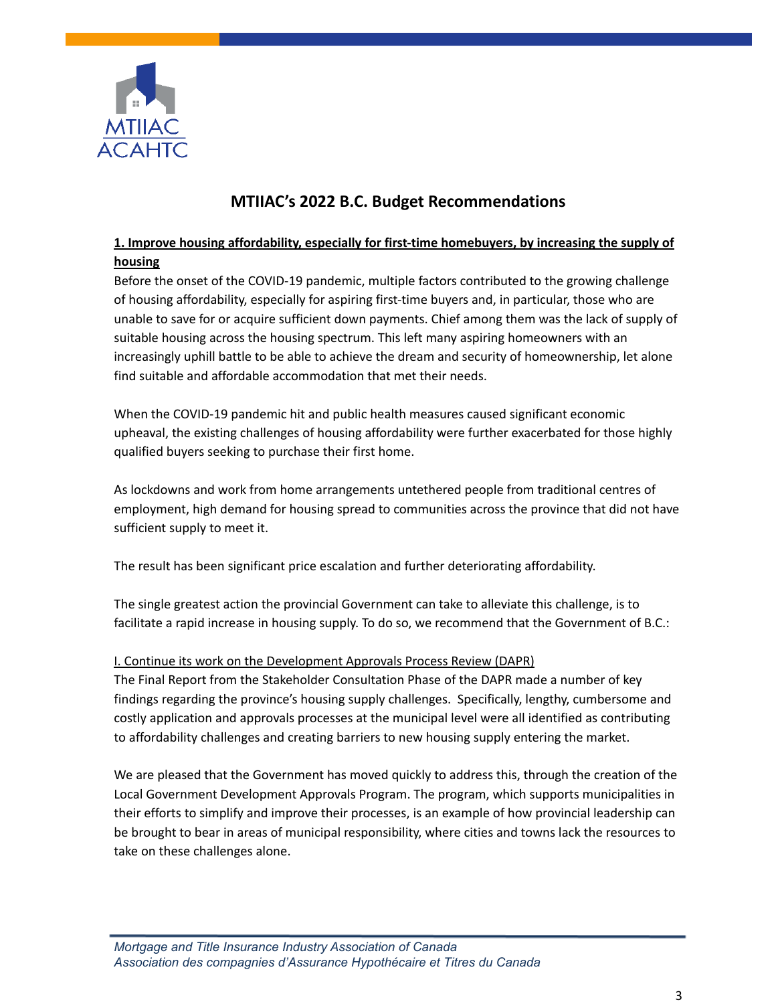

# **MTIIAC's 2022 B.C. Budget Recommendations**

## **1. Improve housing affordability, especially for first-time homebuyers, by increasing the supply of housing**

Before the onset of the COVID-19 pandemic, multiple factors contributed to the growing challenge of housing affordability, especially for aspiring first-time buyers and, in particular, those who are unable to save for or acquire sufficient down payments. Chief among them was the lack of supply of suitable housing across the housing spectrum. This left many aspiring homeowners with an increasingly uphill battle to be able to achieve the dream and security of homeownership, let alone find suitable and affordable accommodation that met their needs.

When the COVID-19 pandemic hit and public health measures caused significant economic upheaval, the existing challenges of housing affordability were further exacerbated for those highly qualified buyers seeking to purchase their first home.

As lockdowns and work from home arrangements untethered people from traditional centres of employment, high demand for housing spread to communities across the province that did not have sufficient supply to meet it.

The result has been significant price escalation and further deteriorating affordability.

The single greatest action the provincial Government can take to alleviate this challenge, is to facilitate a rapid increase in housing supply. To do so, we recommend that the Government of B.C.:

### I. Continue its work on the Development Approvals Process Review (DAPR)

The Final Report from the Stakeholder Consultation Phase of the DAPR made a number of key findings regarding the province's housing supply challenges. Specifically, lengthy, cumbersome and costly application and approvals processes at the municipal level were all identified as contributing to affordability challenges and creating barriers to new housing supply entering the market.

We are pleased that the Government has moved quickly to address this, through the creation of the Local Government Development Approvals Program. The program, which supports municipalities in their efforts to simplify and improve their processes, is an example of how provincial leadership can be brought to bear in areas of municipal responsibility, where cities and towns lack the resources to take on these challenges alone.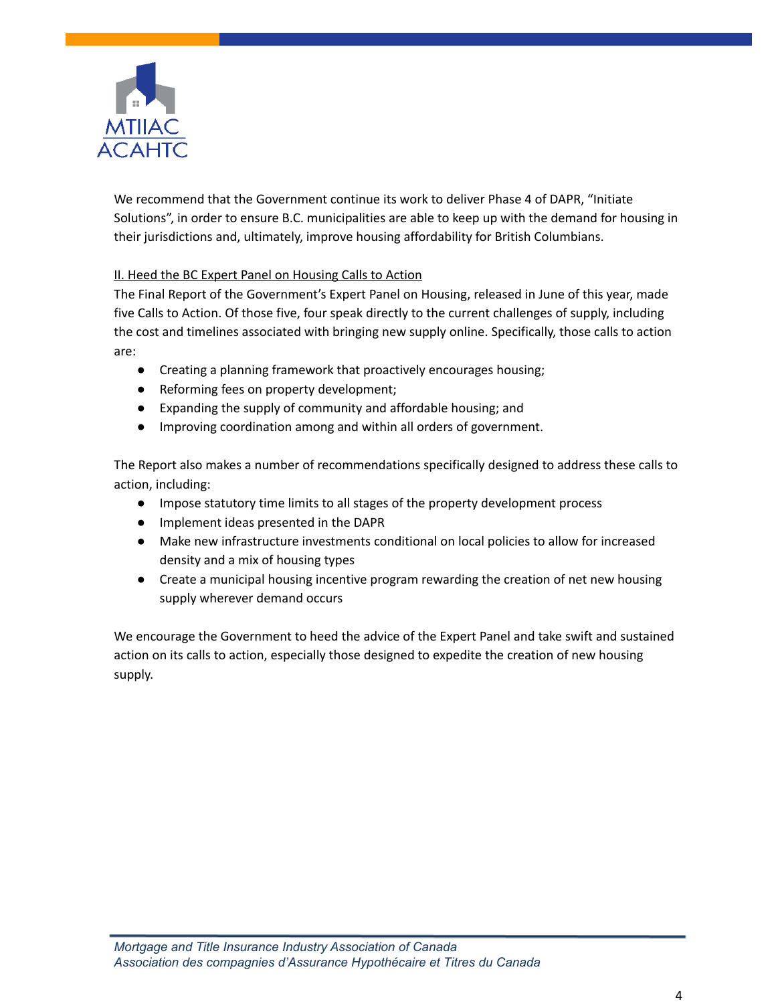

We recommend that the Government continue its work to deliver Phase 4 of DAPR, "Initiate Solutions", in order to ensure B.C. municipalities are able to keep up with the demand for housing in their jurisdictions and, ultimately, improve housing affordability for British Columbians.

### II. Heed the BC Expert Panel on Housing Calls to Action

The Final Report of the Government's Expert Panel on Housing, released in June of this year, made five Calls to Action. Of those five, four speak directly to the current challenges of supply, including the cost and timelines associated with bringing new supply online. Specifically, those calls to action are:

- Creating a planning framework that proactively encourages housing;
- Reforming fees on property development;
- Expanding the supply of community and affordable housing; and
- Improving coordination among and within all orders of government.

The Report also makes a number of recommendations specifically designed to address these calls to action, including:

- Impose statutory time limits to all stages of the property development process
- Implement ideas presented in the DAPR
- Make new infrastructure investments conditional on local policies to allow for increased density and a mix of housing types
- Create a municipal housing incentive program rewarding the creation of net new housing supply wherever demand occurs

We encourage the Government to heed the advice of the Expert Panel and take swift and sustained action on its calls to action, especially those designed to expedite the creation of new housing supply.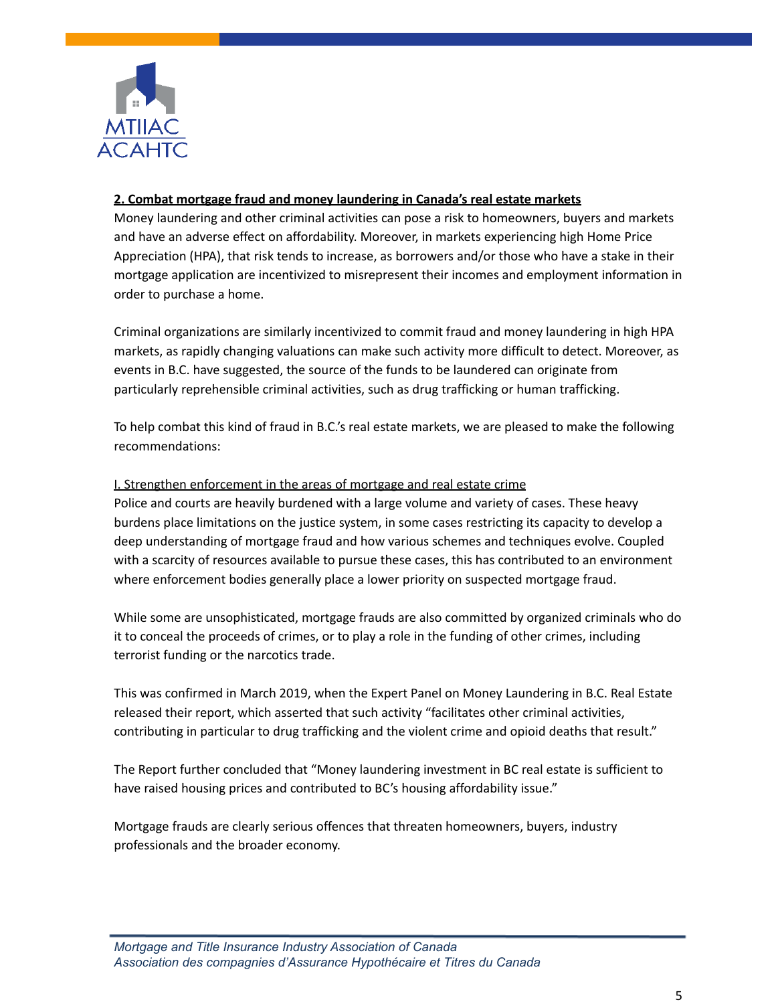

#### **2. Combat mortgage fraud and money laundering in Canada's real estate markets**

Money laundering and other criminal activities can pose a risk to homeowners, buyers and markets and have an adverse effect on affordability. Moreover, in markets experiencing high Home Price Appreciation (HPA), that risk tends to increase, as borrowers and/or those who have a stake in their mortgage application are incentivized to misrepresent their incomes and employment information in order to purchase a home.

Criminal organizations are similarly incentivized to commit fraud and money laundering in high HPA markets, as rapidly changing valuations can make such activity more difficult to detect. Moreover, as events in B.C. have suggested, the source of the funds to be laundered can originate from particularly reprehensible criminal activities, such as drug trafficking or human trafficking.

To help combat this kind of fraud in B.C.'s real estate markets, we are pleased to make the following recommendations:

### I. Strengthen enforcement in the areas of mortgage and real estate crime

Police and courts are heavily burdened with a large volume and variety of cases. These heavy burdens place limitations on the justice system, in some cases restricting its capacity to develop a deep understanding of mortgage fraud and how various schemes and techniques evolve. Coupled with a scarcity of resources available to pursue these cases, this has contributed to an environment where enforcement bodies generally place a lower priority on suspected mortgage fraud.

While some are unsophisticated, mortgage frauds are also committed by organized criminals who do it to conceal the proceeds of crimes, or to play a role in the funding of other crimes, including terrorist funding or the narcotics trade.

This was confirmed in March 2019, when the Expert Panel on Money Laundering in B.C. Real Estate released their report, which asserted that such activity "facilitates other criminal activities, contributing in particular to drug trafficking and the violent crime and opioid deaths that result."

The Report further concluded that "Money laundering investment in BC real estate is sufficient to have raised housing prices and contributed to BC's housing affordability issue."

Mortgage frauds are clearly serious offences that threaten homeowners, buyers, industry professionals and the broader economy.